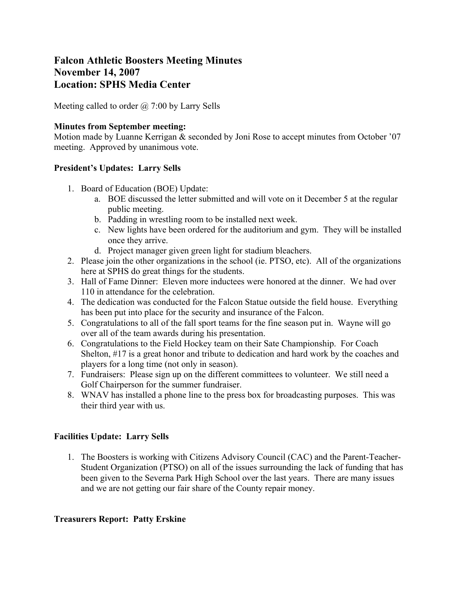# **Falcon Athletic Boosters Meeting Minutes November 14, 2007 Location: SPHS Media Center**

Meeting called to order @ 7:00 by Larry Sells

#### **Minutes from September meeting:**

Motion made by Luanne Kerrigan & seconded by Joni Rose to accept minutes from October '07 meeting. Approved by unanimous vote.

#### **President's Updates: Larry Sells**

- 1. Board of Education (BOE) Update:
	- a. BOE discussed the letter submitted and will vote on it December 5 at the regular public meeting.
	- b. Padding in wrestling room to be installed next week.
	- c. New lights have been ordered for the auditorium and gym. They will be installed once they arrive.
	- d. Project manager given green light for stadium bleachers.
- 2. Please join the other organizations in the school (ie. PTSO, etc). All of the organizations here at SPHS do great things for the students.
- 3. Hall of Fame Dinner: Eleven more inductees were honored at the dinner. We had over 110 in attendance for the celebration.
- 4. The dedication was conducted for the Falcon Statue outside the field house. Everything has been put into place for the security and insurance of the Falcon.
- 5. Congratulations to all of the fall sport teams for the fine season put in. Wayne will go over all of the team awards during his presentation.
- 6. Congratulations to the Field Hockey team on their Sate Championship. For Coach Shelton, #17 is a great honor and tribute to dedication and hard work by the coaches and players for a long time (not only in season).
- 7. Fundraisers: Please sign up on the different committees to volunteer. We still need a Golf Chairperson for the summer fundraiser.
- 8. WNAV has installed a phone line to the press box for broadcasting purposes. This was their third year with us.

## **Facilities Update: Larry Sells**

1. The Boosters is working with Citizens Advisory Council (CAC) and the Parent-Teacher-Student Organization (PTSO) on all of the issues surrounding the lack of funding that has been given to the Severna Park High School over the last years. There are many issues and we are not getting our fair share of the County repair money.

### **Treasurers Report: Patty Erskine**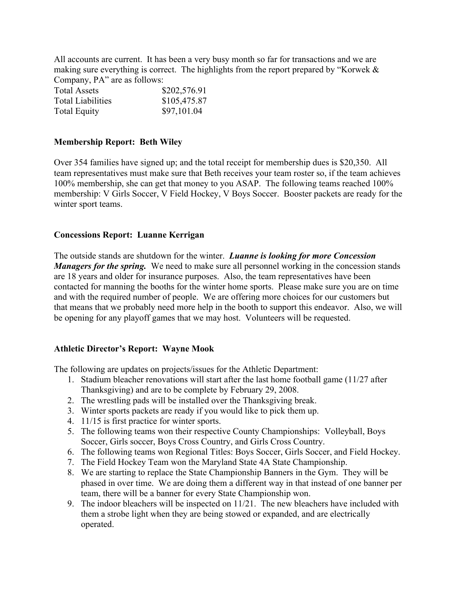All accounts are current. It has been a very busy month so far for transactions and we are making sure everything is correct. The highlights from the report prepared by "Korwek & Company, PA" are as follows:

| <b>Total Assets</b>      | \$202,576.91 |  |  |
|--------------------------|--------------|--|--|
| <b>Total Liabilities</b> | \$105,475.87 |  |  |
| <b>Total Equity</b>      | \$97,101.04  |  |  |

#### **Membership Report: Beth Wiley**

Over 354 families have signed up; and the total receipt for membership dues is \$20,350. All team representatives must make sure that Beth receives your team roster so, if the team achieves 100% membership, she can get that money to you ASAP. The following teams reached 100% membership: V Girls Soccer, V Field Hockey, V Boys Soccer. Booster packets are ready for the winter sport teams.

#### **Concessions Report: Luanne Kerrigan**

The outside stands are shutdown for the winter. *Luanne is looking for more Concession Managers for the spring.* We need to make sure all personnel working in the concession stands are 18 years and older for insurance purposes. Also, the team representatives have been contacted for manning the booths for the winter home sports. Please make sure you are on time and with the required number of people. We are offering more choices for our customers but that means that we probably need more help in the booth to support this endeavor. Also, we will be opening for any playoff games that we may host. Volunteers will be requested.

#### **Athletic Director's Report: Wayne Mook**

The following are updates on projects/issues for the Athletic Department:

- 1. Stadium bleacher renovations will start after the last home football game (11/27 after Thanksgiving) and are to be complete by February 29, 2008.
- 2. The wrestling pads will be installed over the Thanksgiving break.
- 3. Winter sports packets are ready if you would like to pick them up.
- 4. 11/15 is first practice for winter sports.
- 5. The following teams won their respective County Championships: Volleyball, Boys Soccer, Girls soccer, Boys Cross Country, and Girls Cross Country.
- 6. The following teams won Regional Titles: Boys Soccer, Girls Soccer, and Field Hockey.
- 7. The Field Hockey Team won the Maryland State 4A State Championship.
- 8. We are starting to replace the State Championship Banners in the Gym. They will be phased in over time. We are doing them a different way in that instead of one banner per team, there will be a banner for every State Championship won.
- 9. The indoor bleachers will be inspected on 11/21. The new bleachers have included with them a strobe light when they are being stowed or expanded, and are electrically operated.